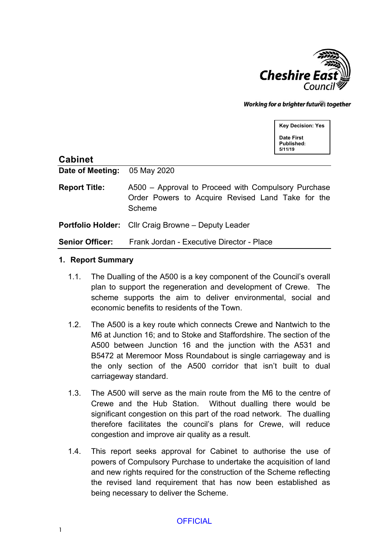

Working for a brighter futures together

**Key Decision: Yes Date First Published: 5/11/19**

| <b>Cabinet</b>               |                                                                                                                    |
|------------------------------|--------------------------------------------------------------------------------------------------------------------|
| Date of Meeting: 05 May 2020 |                                                                                                                    |
| <b>Report Title:</b>         | A500 – Approval to Proceed with Compulsory Purchase<br>Order Powers to Acquire Revised Land Take for the<br>Scheme |
|                              | <b>Portfolio Holder:</b> Cllr Craig Browne – Deputy Leader                                                         |
|                              | <b>Senior Officer:</b> Frank Jordan - Executive Director - Place                                                   |

#### **1. Report Summary**

- 1.1. The Dualling of the A500 is a key component of the Council's overall plan to support the regeneration and development of Crewe. The scheme supports the aim to deliver environmental, social and economic benefits to residents of the Town.
- 1.2. The A500 is a key route which connects Crewe and Nantwich to the M6 at Junction 16; and to Stoke and Staffordshire. The section of the A500 between Junction 16 and the junction with the A531 and B5472 at Meremoor Moss Roundabout is single carriageway and is the only section of the A500 corridor that isn't built to dual carriageway standard.
- 1.3. The A500 will serve as the main route from the M6 to the centre of Crewe and the Hub Station. Without dualling there would be significant congestion on this part of the road network. The dualling therefore facilitates the council's plans for Crewe, will reduce congestion and improve air quality as a result.
- 1.4. This report seeks approval for Cabinet to authorise the use of powers of Compulsory Purchase to undertake the acquisition of land and new rights required for the construction of the Scheme reflecting the revised land requirement that has now been established as being necessary to deliver the Scheme.

#### **OFFICIAL**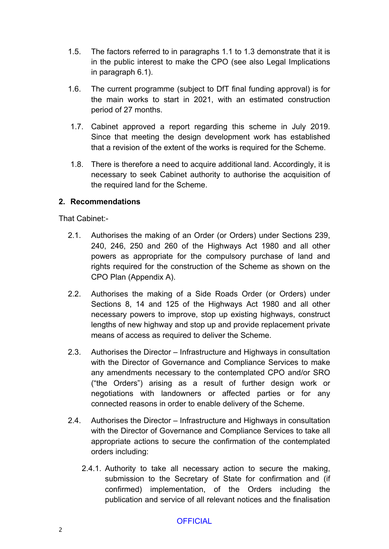- 1.5. The factors referred to in paragraphs 1.1 to 1.3 demonstrate that it is in the public interest to make the CPO (see also Legal Implications in paragraph 6.1).
- 1.6. The current programme (subject to DfT final funding approval) is for the main works to start in 2021, with an estimated construction period of 27 months.
- 1.7. Cabinet approved a report regarding this scheme in July 2019. Since that meeting the design development work has established that a revision of the extent of the works is required for the Scheme.
- 1.8. There is therefore a need to acquire additional land. Accordingly, it is necessary to seek Cabinet authority to authorise the acquisition of the required land for the Scheme.

## **2. Recommendations**

That Cabinet:-

- 2.1. Authorises the making of an Order (or Orders) under Sections 239, 240, 246, 250 and 260 of the Highways Act 1980 and all other powers as appropriate for the compulsory purchase of land and rights required for the construction of the Scheme as shown on the CPO Plan (Appendix A).
- 2.2. Authorises the making of a Side Roads Order (or Orders) under Sections 8, 14 and 125 of the Highways Act 1980 and all other necessary powers to improve, stop up existing highways, construct lengths of new highway and stop up and provide replacement private means of access as required to deliver the Scheme.
- 2.3. Authorises the Director Infrastructure and Highways in consultation with the Director of Governance and Compliance Services to make any amendments necessary to the contemplated CPO and/or SRO ("the Orders") arising as a result of further design work or negotiations with landowners or affected parties or for any connected reasons in order to enable delivery of the Scheme.
- 2.4. Authorises the Director Infrastructure and Highways in consultation with the Director of Governance and Compliance Services to take all appropriate actions to secure the confirmation of the contemplated orders including:
	- 2.4.1. Authority to take all necessary action to secure the making, submission to the Secretary of State for confirmation and (if confirmed) implementation, of the Orders including the publication and service of all relevant notices and the finalisation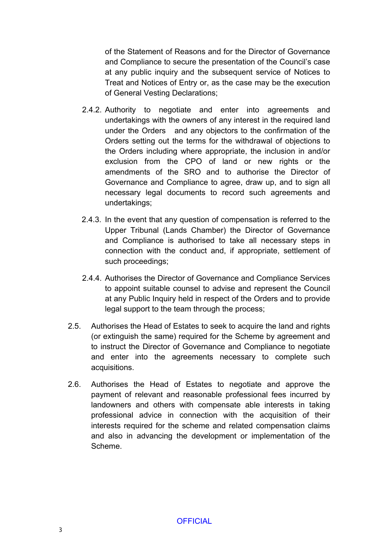of the Statement of Reasons and for the Director of Governance and Compliance to secure the presentation of the Council's case at any public inquiry and the subsequent service of Notices to Treat and Notices of Entry or, as the case may be the execution of General Vesting Declarations;

- 2.4.2. Authority to negotiate and enter into agreements and undertakings with the owners of any interest in the required land under the Orders and any objectors to the confirmation of the Orders setting out the terms for the withdrawal of objections to the Orders including where appropriate, the inclusion in and/or exclusion from the CPO of land or new rights or the amendments of the SRO and to authorise the Director of Governance and Compliance to agree, draw up, and to sign all necessary legal documents to record such agreements and undertakings;
- 2.4.3. In the event that any question of compensation is referred to the Upper Tribunal (Lands Chamber) the Director of Governance and Compliance is authorised to take all necessary steps in connection with the conduct and, if appropriate, settlement of such proceedings;
- 2.4.4. Authorises the Director of Governance and Compliance Services to appoint suitable counsel to advise and represent the Council at any Public Inquiry held in respect of the Orders and to provide legal support to the team through the process;
- 2.5. Authorises the Head of Estates to seek to acquire the land and rights (or extinguish the same) required for the Scheme by agreement and to instruct the Director of Governance and Compliance to negotiate and enter into the agreements necessary to complete such acquisitions.
- 2.6. Authorises the Head of Estates to negotiate and approve the payment of relevant and reasonable professional fees incurred by landowners and others with compensate able interests in taking professional advice in connection with the acquisition of their interests required for the scheme and related compensation claims and also in advancing the development or implementation of the Scheme.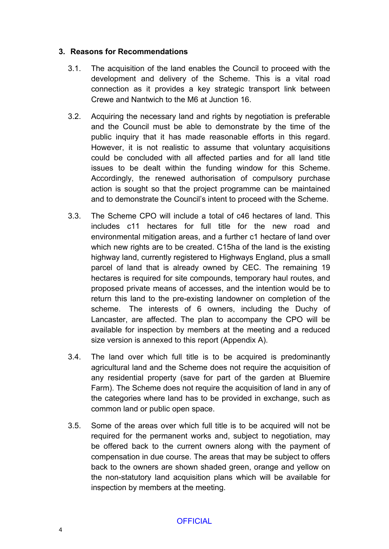#### **3. Reasons for Recommendations**

- 3.1. The acquisition of the land enables the Council to proceed with the development and delivery of the Scheme. This is a vital road connection as it provides a key strategic transport link between Crewe and Nantwich to the M6 at Junction 16.
- 3.2. Acquiring the necessary land and rights by negotiation is preferable and the Council must be able to demonstrate by the time of the public inquiry that it has made reasonable efforts in this regard. However, it is not realistic to assume that voluntary acquisitions could be concluded with all affected parties and for all land title issues to be dealt within the funding window for this Scheme. Accordingly, the renewed authorisation of compulsory purchase action is sought so that the project programme can be maintained and to demonstrate the Council's intent to proceed with the Scheme.
- 3.3. The Scheme CPO will include a total of c46 hectares of land. This includes c11 hectares for full title for the new road and environmental mitigation areas, and a further c1 hectare of land over which new rights are to be created. C15ha of the land is the existing highway land, currently registered to Highways England, plus a small parcel of land that is already owned by CEC. The remaining 19 hectares is required for site compounds, temporary haul routes, and proposed private means of accesses, and the intention would be to return this land to the pre-existing landowner on completion of the scheme. The interests of 6 owners, including the Duchy of Lancaster, are affected. The plan to accompany the CPO will be available for inspection by members at the meeting and a reduced size version is annexed to this report (Appendix A).
- 3.4. The land over which full title is to be acquired is predominantly agricultural land and the Scheme does not require the acquisition of any residential property (save for part of the garden at Bluemire Farm). The Scheme does not require the acquisition of land in any of the categories where land has to be provided in exchange, such as common land or public open space.
- 3.5. Some of the areas over which full title is to be acquired will not be required for the permanent works and, subject to negotiation, may be offered back to the current owners along with the payment of compensation in due course. The areas that may be subject to offers back to the owners are shown shaded green, orange and yellow on the non-statutory land acquisition plans which will be available for inspection by members at the meeting.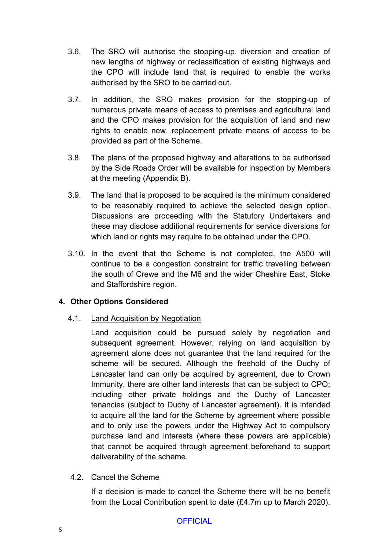- 3.6. The SRO will authorise the stopping-up, diversion and creation of new lengths of highway or reclassification of existing highways and the CPO will include land that is required to enable the works authorised by the SRO to be carried out.
- 3.7. In addition, the SRO makes provision for the stopping-up of numerous private means of access to premises and agricultural land and the CPO makes provision for the acquisition of land and new rights to enable new, replacement private means of access to be provided as part of the Scheme.
- 3.8. The plans of the proposed highway and alterations to be authorised by the Side Roads Order will be available for inspection by Members at the meeting (Appendix B).
- 3.9. The land that is proposed to be acquired is the minimum considered to be reasonably required to achieve the selected design option. Discussions are proceeding with the Statutory Undertakers and these may disclose additional requirements for service diversions for which land or rights may require to be obtained under the CPO.
- 3.10. In the event that the Scheme is not completed, the A500 will continue to be a congestion constraint for traffic travelling between the south of Crewe and the M6 and the wider Cheshire East, Stoke and Staffordshire region.

## **4. Other Options Considered**

4.1. Land Acquisition by Negotiation

Land acquisition could be pursued solely by negotiation and subsequent agreement. However, relying on land acquisition by agreement alone does not guarantee that the land required for the scheme will be secured. Although the freehold of the Duchy of Lancaster land can only be acquired by agreement, due to Crown Immunity, there are other land interests that can be subject to CPO; including other private holdings and the Duchy of Lancaster tenancies (subject to Duchy of Lancaster agreement). It is intended to acquire all the land for the Scheme by agreement where possible and to only use the powers under the Highway Act to compulsory purchase land and interests (where these powers are applicable) that cannot be acquired through agreement beforehand to support deliverability of the scheme.

## 4.2. Cancel the Scheme

If a decision is made to cancel the Scheme there will be no benefit from the Local Contribution spent to date (£4.7m up to March 2020).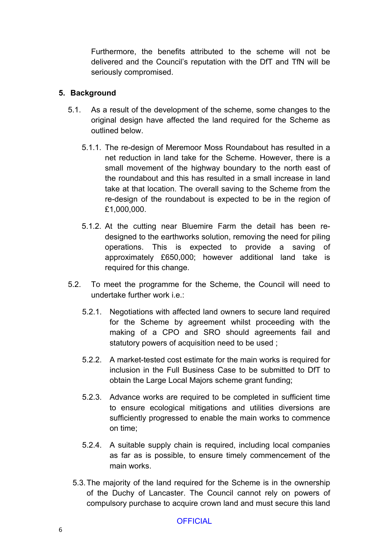Furthermore, the benefits attributed to the scheme will not be delivered and the Council's reputation with the DfT and TfN will be seriously compromised.

#### **5. Background**

- 5.1. As a result of the development of the scheme, some changes to the original design have affected the land required for the Scheme as outlined below.
	- 5.1.1. The re-design of Meremoor Moss Roundabout has resulted in a net reduction in land take for the Scheme. However, there is a small movement of the highway boundary to the north east of the roundabout and this has resulted in a small increase in land take at that location. The overall saving to the Scheme from the re-design of the roundabout is expected to be in the region of £1,000,000.
	- 5.1.2. At the cutting near Bluemire Farm the detail has been redesigned to the earthworks solution, removing the need for piling operations. This is expected to provide a saving of approximately £650,000; however additional land take is required for this change.
- 5.2. To meet the programme for the Scheme, the Council will need to undertake further work  $i.e.$ 
	- 5.2.1. Negotiations with affected land owners to secure land required for the Scheme by agreement whilst proceeding with the making of a CPO and SRO should agreements fail and statutory powers of acquisition need to be used ;
	- 5.2.2. A market-tested cost estimate for the main works is required for inclusion in the Full Business Case to be submitted to DfT to obtain the Large Local Majors scheme grant funding;
	- 5.2.3. Advance works are required to be completed in sufficient time to ensure ecological mitigations and utilities diversions are sufficiently progressed to enable the main works to commence on time;
	- 5.2.4. A suitable supply chain is required, including local companies as far as is possible, to ensure timely commencement of the main works.
	- 5.3.The majority of the land required for the Scheme is in the ownership of the Duchy of Lancaster. The Council cannot rely on powers of compulsory purchase to acquire crown land and must secure this land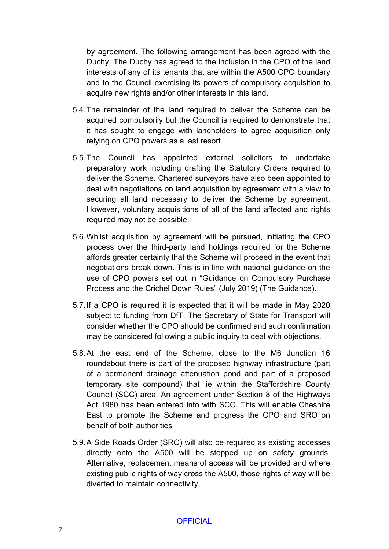by agreement. The following arrangement has been agreed with the Duchy. The Duchy has agreed to the inclusion in the CPO of the land interests of any of its tenants that are within the A500 CPO boundary and to the Council exercising its powers of compulsory acquisition to acquire new rights and/or other interests in this land.

- 5.4.The remainder of the land required to deliver the Scheme can be acquired compulsorily but the Council is required to demonstrate that it has sought to engage with landholders to agree acquisition only relying on CPO powers as a last resort.
- 5.5.The Council has appointed external solicitors to undertake preparatory work including drafting the Statutory Orders required to deliver the Scheme. Chartered surveyors have also been appointed to deal with negotiations on land acquisition by agreement with a view to securing all land necessary to deliver the Scheme by agreement. However, voluntary acquisitions of all of the land affected and rights required may not be possible.
- 5.6.Whilst acquisition by agreement will be pursued, initiating the CPO process over the third-party land holdings required for the Scheme affords greater certainty that the Scheme will proceed in the event that negotiations break down. This is in line with national guidance on the use of CPO powers set out in "Guidance on Compulsory Purchase Process and the Crichel Down Rules" (July 2019) (The Guidance).
- 5.7.If a CPO is required it is expected that it will be made in May 2020 subject to funding from DfT. The Secretary of State for Transport will consider whether the CPO should be confirmed and such confirmation may be considered following a public inquiry to deal with objections.
- 5.8.At the east end of the Scheme, close to the M6 Junction 16 roundabout there is part of the proposed highway infrastructure (part of a permanent drainage attenuation pond and part of a proposed temporary site compound) that lie within the Staffordshire County Council (SCC) area. An agreement under Section 8 of the Highways Act 1980 has been entered into with SCC. This will enable Cheshire East to promote the Scheme and progress the CPO and SRO on behalf of both authorities
- 5.9.A Side Roads Order (SRO) will also be required as existing accesses directly onto the A500 will be stopped up on safety grounds. Alternative, replacement means of access will be provided and where existing public rights of way cross the A500, those rights of way will be diverted to maintain connectivity.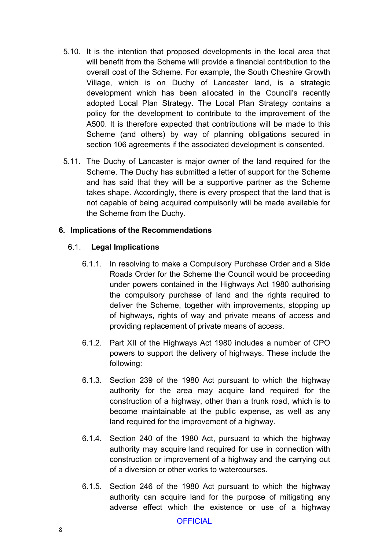- 5.10. It is the intention that proposed developments in the local area that will benefit from the Scheme will provide a financial contribution to the overall cost of the Scheme. For example, the South Cheshire Growth Village, which is on Duchy of Lancaster land, is a strategic development which has been allocated in the Council's recently adopted Local Plan Strategy. The Local Plan Strategy contains a policy for the development to contribute to the improvement of the A500. It is therefore expected that contributions will be made to this Scheme (and others) by way of planning obligations secured in section 106 agreements if the associated development is consented.
- 5.11. The Duchy of Lancaster is major owner of the land required for the Scheme. The Duchy has submitted a letter of support for the Scheme and has said that they will be a supportive partner as the Scheme takes shape. Accordingly, there is every prospect that the land that is not capable of being acquired compulsorily will be made available for the Scheme from the Duchy.

#### **6. Implications of the Recommendations**

#### 6.1. **Legal Implications**

- 6.1.1. In resolving to make a Compulsory Purchase Order and a Side Roads Order for the Scheme the Council would be proceeding under powers contained in the Highways Act 1980 authorising the compulsory purchase of land and the rights required to deliver the Scheme, together with improvements, stopping up of highways, rights of way and private means of access and providing replacement of private means of access.
- 6.1.2. Part XII of the Highways Act 1980 includes a number of CPO powers to support the delivery of highways. These include the following:
- 6.1.3. Section 239 of the 1980 Act pursuant to which the highway authority for the area may acquire land required for the construction of a highway, other than a trunk road, which is to become maintainable at the public expense, as well as any land required for the improvement of a highway.
- 6.1.4. Section 240 of the 1980 Act, pursuant to which the highway authority may acquire land required for use in connection with construction or improvement of a highway and the carrying out of a diversion or other works to watercourses.
- 6.1.5. Section 246 of the 1980 Act pursuant to which the highway authority can acquire land for the purpose of mitigating any adverse effect which the existence or use of a highway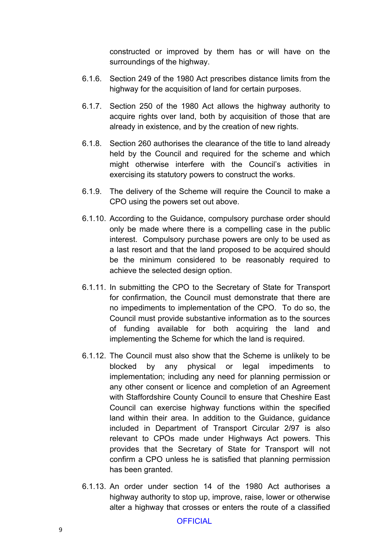constructed or improved by them has or will have on the surroundings of the highway.

- 6.1.6. Section 249 of the 1980 Act prescribes distance limits from the highway for the acquisition of land for certain purposes.
- 6.1.7. Section 250 of the 1980 Act allows the highway authority to acquire rights over land, both by acquisition of those that are already in existence, and by the creation of new rights.
- 6.1.8. Section 260 authorises the clearance of the title to land already held by the Council and required for the scheme and which might otherwise interfere with the Council's activities in exercising its statutory powers to construct the works.
- 6.1.9. The delivery of the Scheme will require the Council to make a CPO using the powers set out above.
- 6.1.10. According to the Guidance, compulsory purchase order should only be made where there is a compelling case in the public interest. Compulsory purchase powers are only to be used as a last resort and that the land proposed to be acquired should be the minimum considered to be reasonably required to achieve the selected design option.
- 6.1.11. In submitting the CPO to the Secretary of State for Transport for confirmation, the Council must demonstrate that there are no impediments to implementation of the CPO. To do so, the Council must provide substantive information as to the sources of funding available for both acquiring the land and implementing the Scheme for which the land is required.
- 6.1.12. The Council must also show that the Scheme is unlikely to be blocked by any physical or legal impediments to implementation; including any need for planning permission or any other consent or licence and completion of an Agreement with Staffordshire County Council to ensure that Cheshire East Council can exercise highway functions within the specified land within their area. In addition to the Guidance, guidance included in Department of Transport Circular 2/97 is also relevant to CPOs made under Highways Act powers. This provides that the Secretary of State for Transport will not confirm a CPO unless he is satisfied that planning permission has been granted.
- 6.1.13. An order under section 14 of the 1980 Act authorises a highway authority to stop up, improve, raise, lower or otherwise alter a highway that crosses or enters the route of a classified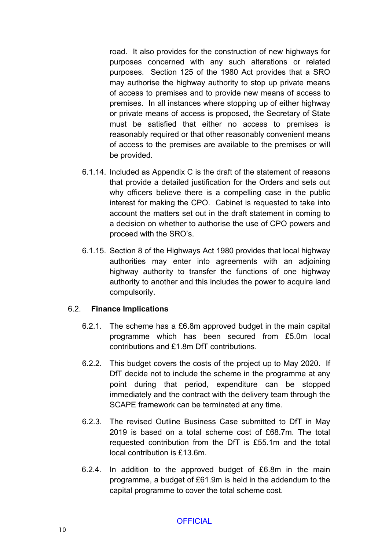road. It also provides for the construction of new highways for purposes concerned with any such alterations or related purposes. Section 125 of the 1980 Act provides that a SRO may authorise the highway authority to stop up private means of access to premises and to provide new means of access to premises. In all instances where stopping up of either highway or private means of access is proposed, the Secretary of State must be satisfied that either no access to premises is reasonably required or that other reasonably convenient means of access to the premises are available to the premises or will be provided.

- 6.1.14. Included as Appendix C is the draft of the statement of reasons that provide a detailed justification for the Orders and sets out why officers believe there is a compelling case in the public interest for making the CPO. Cabinet is requested to take into account the matters set out in the draft statement in coming to a decision on whether to authorise the use of CPO powers and proceed with the SRO's.
- 6.1.15. Section 8 of the Highways Act 1980 provides that local highway authorities may enter into agreements with an adjoining highway authority to transfer the functions of one highway authority to another and this includes the power to acquire land compulsorily.

#### 6.2. **Finance Implications**

- 6.2.1. The scheme has a £6.8m approved budget in the main capital programme which has been secured from £5.0m local contributions and £1.8m DfT contributions.
- 6.2.2. This budget covers the costs of the project up to May 2020. If DfT decide not to include the scheme in the programme at any point during that period, expenditure can be stopped immediately and the contract with the delivery team through the SCAPE framework can be terminated at any time.
- 6.2.3. The revised Outline Business Case submitted to DfT in May 2019 is based on a total scheme cost of £68.7m. The total requested contribution from the DfT is £55.1m and the total local contribution is £13.6m.
- 6.2.4. In addition to the approved budget of £6.8m in the main programme, a budget of £61.9m is held in the addendum to the capital programme to cover the total scheme cost.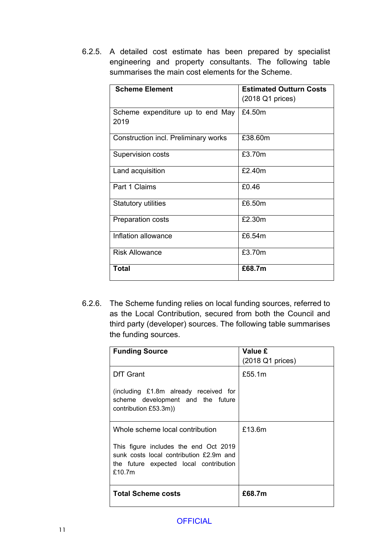6.2.5. A detailed cost estimate has been prepared by specialist engineering and property consultants. The following table summarises the main cost elements for the Scheme.

| <b>Scheme Element</b>                    | <b>Estimated Outturn Costs</b><br>(2018 Q1 prices) |
|------------------------------------------|----------------------------------------------------|
| Scheme expenditure up to end May<br>2019 | £4.50m                                             |
| Construction incl. Preliminary works     | £38.60m                                            |
| Supervision costs                        | £3.70m                                             |
| Land acquisition                         | £2.40m                                             |
| Part 1 Claims                            | £0.46                                              |
| <b>Statutory utilities</b>               | £6.50m                                             |
| <b>Preparation costs</b>                 | £2.30m                                             |
| Inflation allowance                      | £6.54m                                             |
| Risk Allowance                           | £3.70m                                             |
| <b>Total</b>                             | £68.7m                                             |

6.2.6. The Scheme funding relies on local funding sources, referred to as the Local Contribution, secured from both the Council and third party (developer) sources. The following table summarises the funding sources.

| <b>Funding Source</b>                                                                                                                | Value £          |
|--------------------------------------------------------------------------------------------------------------------------------------|------------------|
|                                                                                                                                      | (2018 Q1 prices) |
| DfT Grant                                                                                                                            | £55.1m           |
| (including £1.8m already received for<br>scheme development and the future<br>contribution £53.3m))                                  |                  |
| Whole scheme local contribution                                                                                                      | £13.6m           |
| This figure includes the end Oct 2019<br>sunk costs local contribution £2.9m and<br>the future expected local contribution<br>£10.7m |                  |
| <b>Total Scheme costs</b>                                                                                                            | £68.7m           |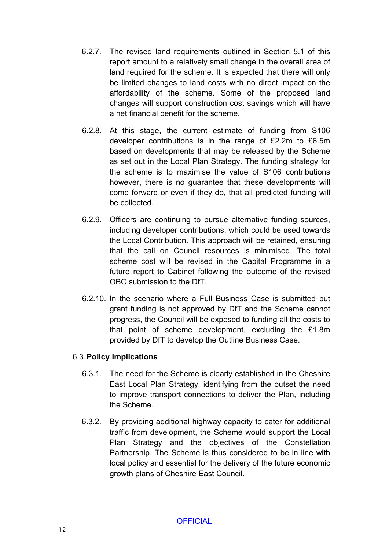- 6.2.7. The revised land requirements outlined in Section 5.1 of this report amount to a relatively small change in the overall area of land required for the scheme. It is expected that there will only be limited changes to land costs with no direct impact on the affordability of the scheme. Some of the proposed land changes will support construction cost savings which will have a net financial benefit for the scheme.
- 6.2.8. At this stage, the current estimate of funding from S106 developer contributions is in the range of £2.2m to £6.5m based on developments that may be released by the Scheme as set out in the Local Plan Strategy. The funding strategy for the scheme is to maximise the value of S106 contributions however, there is no guarantee that these developments will come forward or even if they do, that all predicted funding will be collected.
- 6.2.9. Officers are continuing to pursue alternative funding sources, including developer contributions, which could be used towards the Local Contribution. This approach will be retained, ensuring that the call on Council resources is minimised. The total scheme cost will be revised in the Capital Programme in a future report to Cabinet following the outcome of the revised OBC submission to the DfT.
- 6.2.10. In the scenario where a Full Business Case is submitted but grant funding is not approved by DfT and the Scheme cannot progress, the Council will be exposed to funding all the costs to that point of scheme development, excluding the £1.8m provided by DfT to develop the Outline Business Case.

## 6.3.**Policy Implications**

- 6.3.1. The need for the Scheme is clearly established in the Cheshire East Local Plan Strategy, identifying from the outset the need to improve transport connections to deliver the Plan, including the Scheme.
- 6.3.2. By providing additional highway capacity to cater for additional traffic from development, the Scheme would support the Local Plan Strategy and the objectives of the Constellation Partnership. The Scheme is thus considered to be in line with local policy and essential for the delivery of the future economic growth plans of Cheshire East Council.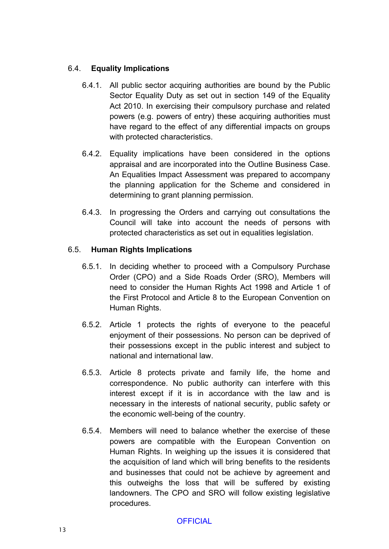## 6.4. **Equality Implications**

- 6.4.1. All public sector acquiring authorities are bound by the Public Sector Equality Duty as set out in section 149 of the Equality Act 2010. In exercising their compulsory purchase and related powers (e.g. powers of entry) these acquiring authorities must have regard to the effect of any differential impacts on groups with protected characteristics.
- 6.4.2. Equality implications have been considered in the options appraisal and are incorporated into the Outline Business Case. An Equalities Impact Assessment was prepared to accompany the planning application for the Scheme and considered in determining to grant planning permission.
- 6.4.3. In progressing the Orders and carrying out consultations the Council will take into account the needs of persons with protected characteristics as set out in equalities legislation.

## 6.5. **Human Rights Implications**

- 6.5.1. In deciding whether to proceed with a Compulsory Purchase Order (CPO) and a Side Roads Order (SRO), Members will need to consider the Human Rights Act 1998 and Article 1 of the First Protocol and Article 8 to the European Convention on Human Rights.
- 6.5.2. Article 1 protects the rights of everyone to the peaceful enjoyment of their possessions. No person can be deprived of their possessions except in the public interest and subject to national and international law.
- 6.5.3. Article 8 protects private and family life, the home and correspondence. No public authority can interfere with this interest except if it is in accordance with the law and is necessary in the interests of national security, public safety or the economic well-being of the country.
- 6.5.4. Members will need to balance whether the exercise of these powers are compatible with the European Convention on Human Rights. In weighing up the issues it is considered that the acquisition of land which will bring benefits to the residents and businesses that could not be achieve by agreement and this outweighs the loss that will be suffered by existing landowners. The CPO and SRO will follow existing legislative procedures.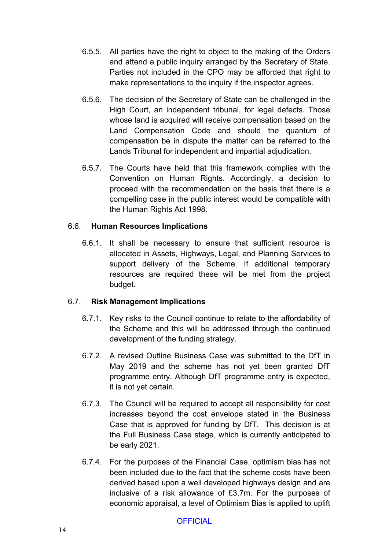- 6.5.5. All parties have the right to object to the making of the Orders and attend a public inquiry arranged by the Secretary of State. Parties not included in the CPO may be afforded that right to make representations to the inquiry if the inspector agrees.
- 6.5.6. The decision of the Secretary of State can be challenged in the High Court, an independent tribunal, for legal defects. Those whose land is acquired will receive compensation based on the Land Compensation Code and should the quantum of compensation be in dispute the matter can be referred to the Lands Tribunal for independent and impartial adjudication.
- 6.5.7. The Courts have held that this framework complies with the Convention on Human Rights. Accordingly, a decision to proceed with the recommendation on the basis that there is a compelling case in the public interest would be compatible with the Human Rights Act 1998.

## 6.6. **Human Resources Implications**

6.6.1. It shall be necessary to ensure that sufficient resource is allocated in Assets, Highways, Legal, and Planning Services to support delivery of the Scheme. If additional temporary resources are required these will be met from the project budget.

## 6.7. **Risk Management Implications**

- 6.7.1. Key risks to the Council continue to relate to the affordability of the Scheme and this will be addressed through the continued development of the funding strategy.
- 6.7.2. A revised Outline Business Case was submitted to the DfT in May 2019 and the scheme has not yet been granted DfT programme entry. Although DfT programme entry is expected, it is not yet certain.
- 6.7.3. The Council will be required to accept all responsibility for cost increases beyond the cost envelope stated in the Business Case that is approved for funding by DfT. This decision is at the Full Business Case stage, which is currently anticipated to be early 2021.
- 6.7.4. For the purposes of the Financial Case, optimism bias has not been included due to the fact that the scheme costs have been derived based upon a well developed highways design and are inclusive of a risk allowance of £3.7m. For the purposes of economic appraisal, a level of Optimism Bias is applied to uplift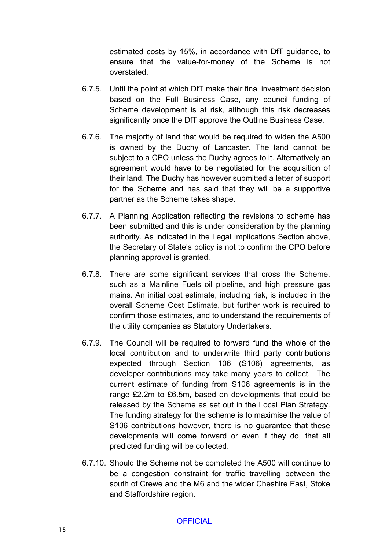estimated costs by 15%, in accordance with DfT guidance, to ensure that the value-for-money of the Scheme is not overstated.

- 6.7.5. Until the point at which DfT make their final investment decision based on the Full Business Case, any council funding of Scheme development is at risk, although this risk decreases significantly once the DfT approve the Outline Business Case.
- 6.7.6. The majority of land that would be required to widen the A500 is owned by the Duchy of Lancaster. The land cannot be subject to a CPO unless the Duchy agrees to it. Alternatively an agreement would have to be negotiated for the acquisition of their land. The Duchy has however submitted a letter of support for the Scheme and has said that they will be a supportive partner as the Scheme takes shape.
- 6.7.7. A Planning Application reflecting the revisions to scheme has been submitted and this is under consideration by the planning authority. As indicated in the Legal Implications Section above, the Secretary of State's policy is not to confirm the CPO before planning approval is granted.
- 6.7.8. There are some significant services that cross the Scheme, such as a Mainline Fuels oil pipeline, and high pressure gas mains. An initial cost estimate, including risk, is included in the overall Scheme Cost Estimate, but further work is required to confirm those estimates, and to understand the requirements of the utility companies as Statutory Undertakers.
- 6.7.9. The Council will be required to forward fund the whole of the local contribution and to underwrite third party contributions expected through Section 106 (S106) agreements, as developer contributions may take many years to collect. The current estimate of funding from S106 agreements is in the range £2.2m to £6.5m, based on developments that could be released by the Scheme as set out in the Local Plan Strategy. The funding strategy for the scheme is to maximise the value of S106 contributions however, there is no guarantee that these developments will come forward or even if they do, that all predicted funding will be collected.
- 6.7.10. Should the Scheme not be completed the A500 will continue to be a congestion constraint for traffic travelling between the south of Crewe and the M6 and the wider Cheshire East, Stoke and Staffordshire region.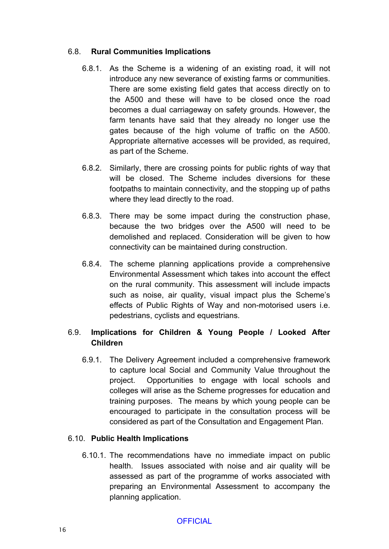#### 6.8. **Rural Communities Implications**

- 6.8.1. As the Scheme is a widening of an existing road, it will not introduce any new severance of existing farms or communities. There are some existing field gates that access directly on to the A500 and these will have to be closed once the road becomes a dual carriageway on safety grounds. However, the farm tenants have said that they already no longer use the gates because of the high volume of traffic on the A500. Appropriate alternative accesses will be provided, as required, as part of the Scheme.
- 6.8.2. Similarly, there are crossing points for public rights of way that will be closed. The Scheme includes diversions for these footpaths to maintain connectivity, and the stopping up of paths where they lead directly to the road.
- 6.8.3. There may be some impact during the construction phase, because the two bridges over the A500 will need to be demolished and replaced. Consideration will be given to how connectivity can be maintained during construction.
- 6.8.4. The scheme planning applications provide a comprehensive Environmental Assessment which takes into account the effect on the rural community. This assessment will include impacts such as noise, air quality, visual impact plus the Scheme's effects of Public Rights of Way and non-motorised users i.e. pedestrians, cyclists and equestrians.

## 6.9. **Implications for Children & Young People / Looked After Children**

6.9.1. The Delivery Agreement included a comprehensive framework to capture local Social and Community Value throughout the project. Opportunities to engage with local schools and colleges will arise as the Scheme progresses for education and training purposes. The means by which young people can be encouraged to participate in the consultation process will be considered as part of the Consultation and Engagement Plan.

## 6.10. **Public Health Implications**

6.10.1. The recommendations have no immediate impact on public health. Issues associated with noise and air quality will be assessed as part of the programme of works associated with preparing an Environmental Assessment to accompany the planning application.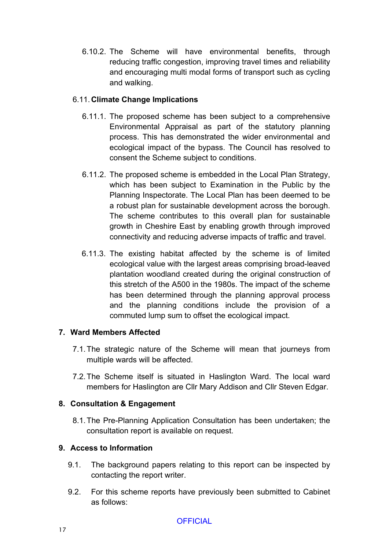6.10.2. The Scheme will have environmental benefits, through reducing traffic congestion, improving travel times and reliability and encouraging multi modal forms of transport such as cycling and walking.

## 6.11.**Climate Change Implications**

- 6.11.1. The proposed scheme has been subject to a comprehensive Environmental Appraisal as part of the statutory planning process. This has demonstrated the wider environmental and ecological impact of the bypass. The Council has resolved to consent the Scheme subject to conditions.
- 6.11.2. The proposed scheme is embedded in the Local Plan Strategy, which has been subject to Examination in the Public by the Planning Inspectorate. The Local Plan has been deemed to be a robust plan for sustainable development across the borough. The scheme contributes to this overall plan for sustainable growth in Cheshire East by enabling growth through improved connectivity and reducing adverse impacts of traffic and travel.
- 6.11.3. The existing habitat affected by the scheme is of limited ecological value with the largest areas comprising broad-leaved plantation woodland created during the original construction of this stretch of the A500 in the 1980s. The impact of the scheme has been determined through the planning approval process and the planning conditions include the provision of a commuted lump sum to offset the ecological impact.

## **7. Ward Members Affected**

- 7.1.The strategic nature of the Scheme will mean that journeys from multiple wards will be affected.
- 7.2.The Scheme itself is situated in Haslington Ward. The local ward members for Haslington are Cllr Mary Addison and Cllr Steven Edgar.

## **8. Consultation & Engagement**

8.1.The Pre-Planning Application Consultation has been undertaken; the consultation report is available on request.

# **9. Access to Information**

- 9.1. The background papers relating to this report can be inspected by contacting the report writer.
- 9.2. For this scheme reports have previously been submitted to Cabinet as follows: